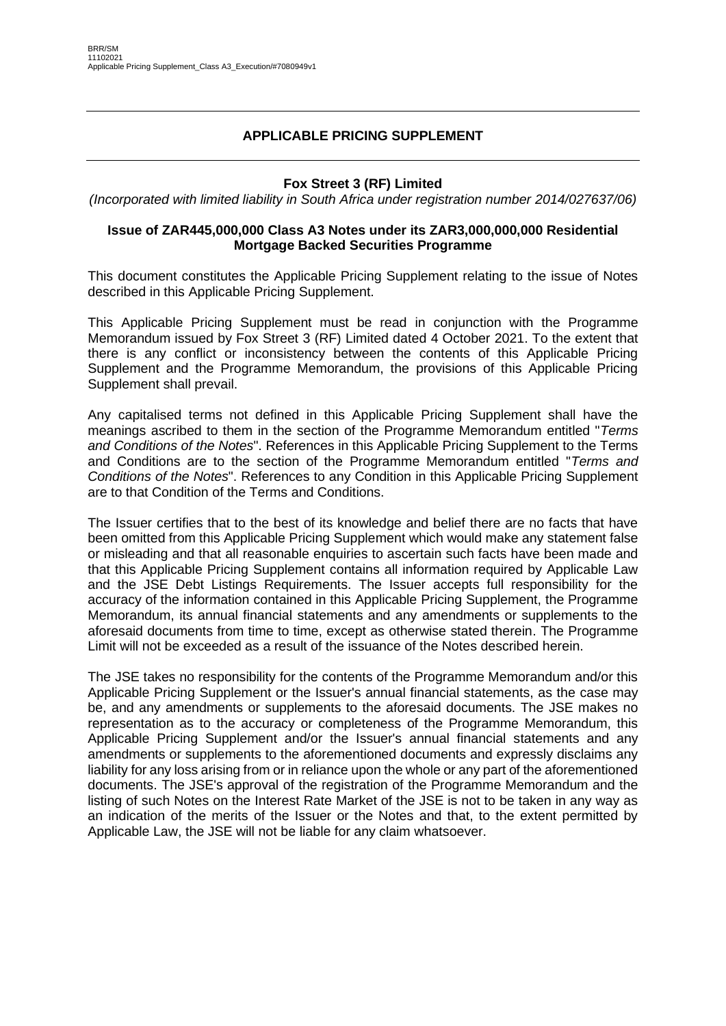## **APPLICABLE PRICING SUPPLEMENT**

### **Fox Street 3 (RF) Limited**

*(Incorporated with limited liability in South Africa under registration number 2014/027637/06)*

### **Issue of ZAR445,000,000 Class A3 Notes under its ZAR3,000,000,000 Residential Mortgage Backed Securities Programme**

This document constitutes the Applicable Pricing Supplement relating to the issue of Notes described in this Applicable Pricing Supplement.

This Applicable Pricing Supplement must be read in conjunction with the Programme Memorandum issued by Fox Street 3 (RF) Limited dated 4 October 2021. To the extent that there is any conflict or inconsistency between the contents of this Applicable Pricing Supplement and the Programme Memorandum, the provisions of this Applicable Pricing Supplement shall prevail.

Any capitalised terms not defined in this Applicable Pricing Supplement shall have the meanings ascribed to them in the section of the Programme Memorandum entitled "*Terms and Conditions of the Notes*". References in this Applicable Pricing Supplement to the Terms and Conditions are to the section of the Programme Memorandum entitled "*Terms and Conditions of the Notes*". References to any Condition in this Applicable Pricing Supplement are to that Condition of the Terms and Conditions.

The Issuer certifies that to the best of its knowledge and belief there are no facts that have been omitted from this Applicable Pricing Supplement which would make any statement false or misleading and that all reasonable enquiries to ascertain such facts have been made and that this Applicable Pricing Supplement contains all information required by Applicable Law and the JSE Debt Listings Requirements. The Issuer accepts full responsibility for the accuracy of the information contained in this Applicable Pricing Supplement, the Programme Memorandum, its annual financial statements and any amendments or supplements to the aforesaid documents from time to time, except as otherwise stated therein. The Programme Limit will not be exceeded as a result of the issuance of the Notes described herein.

The JSE takes no responsibility for the contents of the Programme Memorandum and/or this Applicable Pricing Supplement or the Issuer's annual financial statements, as the case may be, and any amendments or supplements to the aforesaid documents. The JSE makes no representation as to the accuracy or completeness of the Programme Memorandum, this Applicable Pricing Supplement and/or the Issuer's annual financial statements and any amendments or supplements to the aforementioned documents and expressly disclaims any liability for any loss arising from or in reliance upon the whole or any part of the aforementioned documents. The JSE's approval of the registration of the Programme Memorandum and the listing of such Notes on the Interest Rate Market of the JSE is not to be taken in any way as an indication of the merits of the Issuer or the Notes and that, to the extent permitted by Applicable Law, the JSE will not be liable for any claim whatsoever.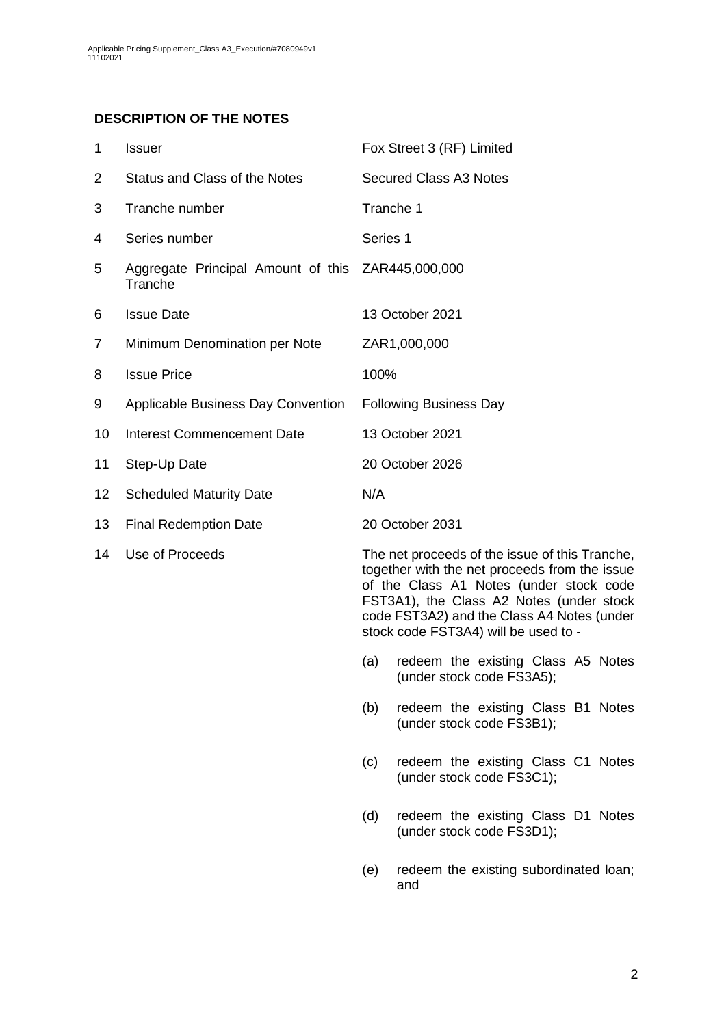## **DESCRIPTION OF THE NOTES**

<span id="page-1-0"></span>

| $\mathbf 1$    | <b>Issuer</b>                                                | Fox Street 3 (RF) Limited                                                                                                                                                                                                                                                                                                 |  |  |  |
|----------------|--------------------------------------------------------------|---------------------------------------------------------------------------------------------------------------------------------------------------------------------------------------------------------------------------------------------------------------------------------------------------------------------------|--|--|--|
| $\overline{2}$ | Status and Class of the Notes                                | <b>Secured Class A3 Notes</b>                                                                                                                                                                                                                                                                                             |  |  |  |
| 3              | Tranche number                                               | Tranche 1                                                                                                                                                                                                                                                                                                                 |  |  |  |
| 4              | Series number                                                | Series 1                                                                                                                                                                                                                                                                                                                  |  |  |  |
| 5              | Aggregate Principal Amount of this ZAR445,000,000<br>Tranche |                                                                                                                                                                                                                                                                                                                           |  |  |  |
| 6              | <b>Issue Date</b>                                            | 13 October 2021                                                                                                                                                                                                                                                                                                           |  |  |  |
| 7              | Minimum Denomination per Note                                | ZAR1,000,000                                                                                                                                                                                                                                                                                                              |  |  |  |
| 8              | <b>Issue Price</b>                                           | 100%                                                                                                                                                                                                                                                                                                                      |  |  |  |
| 9              | Applicable Business Day Convention                           | <b>Following Business Day</b>                                                                                                                                                                                                                                                                                             |  |  |  |
| 10             | <b>Interest Commencement Date</b>                            | 13 October 2021                                                                                                                                                                                                                                                                                                           |  |  |  |
| 11             | Step-Up Date                                                 | 20 October 2026                                                                                                                                                                                                                                                                                                           |  |  |  |
| 12             | <b>Scheduled Maturity Date</b>                               | N/A                                                                                                                                                                                                                                                                                                                       |  |  |  |
| 13             | <b>Final Redemption Date</b>                                 | 20 October 2031                                                                                                                                                                                                                                                                                                           |  |  |  |
| 14             | Use of Proceeds                                              | The net proceeds of the issue of this Tranche,<br>together with the net proceeds from the issue<br>of the Class A1 Notes (under stock code<br>FST3A1), the Class A2 Notes (under stock<br>code FST3A2) and the Class A4 Notes (under<br>stock code FST3A4) will be used to -<br>redeem the existing Class A5 Notes<br>(a) |  |  |  |
|                |                                                              | (under stock code FS3A5);                                                                                                                                                                                                                                                                                                 |  |  |  |

(b) redeem the existing Class B1 Notes (under stock code FS3B1);

- (c) redeem the existing Class C1 Notes (under stock code FS3C1);
- (d) redeem the existing Class D1 Notes (under stock code FS3D1);
- (e) redeem the existing subordinated loan; and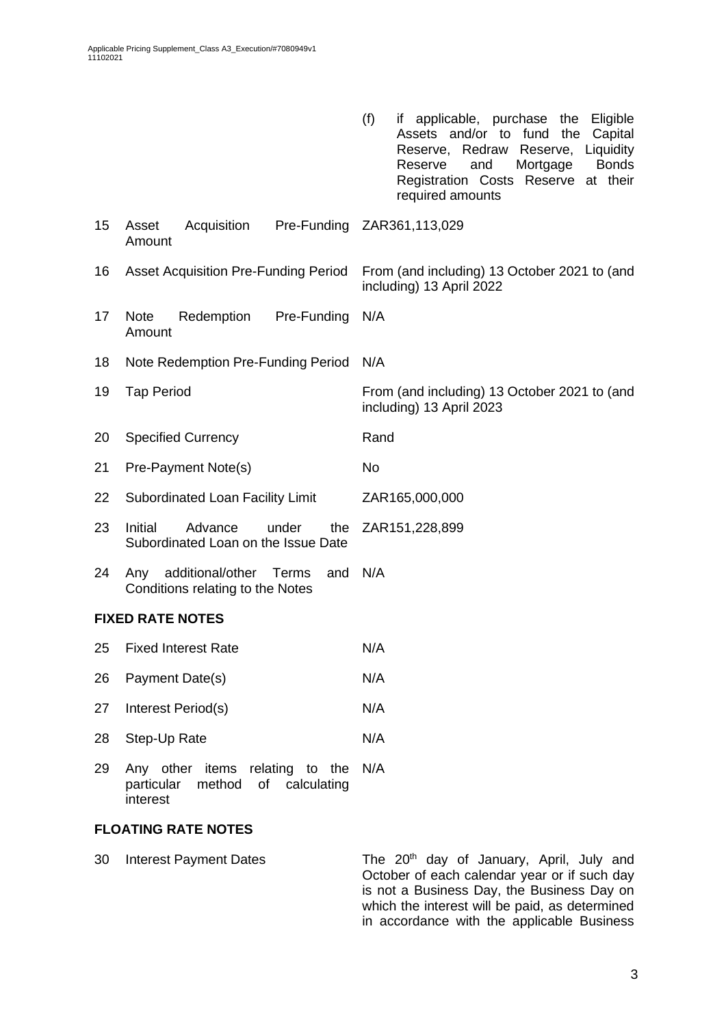|    |                                                                             | (f)<br>applicable, purchase<br>Eligible<br>the<br>it.<br>Assets and/or to<br>fund<br>the<br>Capital<br>Reserve, Redraw<br>Liquidity<br>Reserve,<br><b>Bonds</b><br>Mortgage<br>Reserve<br>and<br>Registration Costs Reserve at their<br>required amounts |  |  |
|----|-----------------------------------------------------------------------------|----------------------------------------------------------------------------------------------------------------------------------------------------------------------------------------------------------------------------------------------------------|--|--|
| 15 | Asset<br>Acquisition<br>Amount                                              | Pre-Funding ZAR361,113,029                                                                                                                                                                                                                               |  |  |
| 16 | <b>Asset Acquisition Pre-Funding Period</b>                                 | From (and including) 13 October 2021 to (and<br>including) 13 April 2022                                                                                                                                                                                 |  |  |
| 17 | <b>Note</b><br>Redemption<br>Pre-Funding<br>Amount                          | N/A                                                                                                                                                                                                                                                      |  |  |
| 18 | Note Redemption Pre-Funding Period                                          | N/A                                                                                                                                                                                                                                                      |  |  |
| 19 | <b>Tap Period</b>                                                           | From (and including) 13 October 2021 to (and<br>including) 13 April 2023                                                                                                                                                                                 |  |  |
| 20 | <b>Specified Currency</b>                                                   | Rand                                                                                                                                                                                                                                                     |  |  |
| 21 | Pre-Payment Note(s)                                                         | No                                                                                                                                                                                                                                                       |  |  |
| 22 | Subordinated Loan Facility Limit                                            | ZAR165,000,000                                                                                                                                                                                                                                           |  |  |
| 23 | Initial<br>Advance<br>the<br>under<br>Subordinated Loan on the Issue Date   | ZAR151,228,899                                                                                                                                                                                                                                           |  |  |
| 24 | additional/other<br>Terms<br>and<br>Any<br>Conditions relating to the Notes | N/A                                                                                                                                                                                                                                                      |  |  |
|    | <b>FIXED RATE NOTES</b>                                                     |                                                                                                                                                                                                                                                          |  |  |
| 25 | <b>Fixed Interest Rate</b>                                                  | N/A                                                                                                                                                                                                                                                      |  |  |
| 26 | Payment Date(s)                                                             | N/A                                                                                                                                                                                                                                                      |  |  |
| 27 | Interest Period(s)                                                          | N/A                                                                                                                                                                                                                                                      |  |  |
| 28 | Step-Up Rate                                                                | N/A                                                                                                                                                                                                                                                      |  |  |
| ററ | other items relating to the                                                 | $N1/\Lambda$                                                                                                                                                                                                                                             |  |  |

29 Any other items relating to the N/A particular method of calculating interest

## **FLOATING RATE NOTES**

30 Interest Payment Dates The 20<sup>th</sup> day of January, April, July and October of each calendar year or if such day is not a Business Day, the Business Day on which the interest will be paid, as determined in accordance with the applicable Business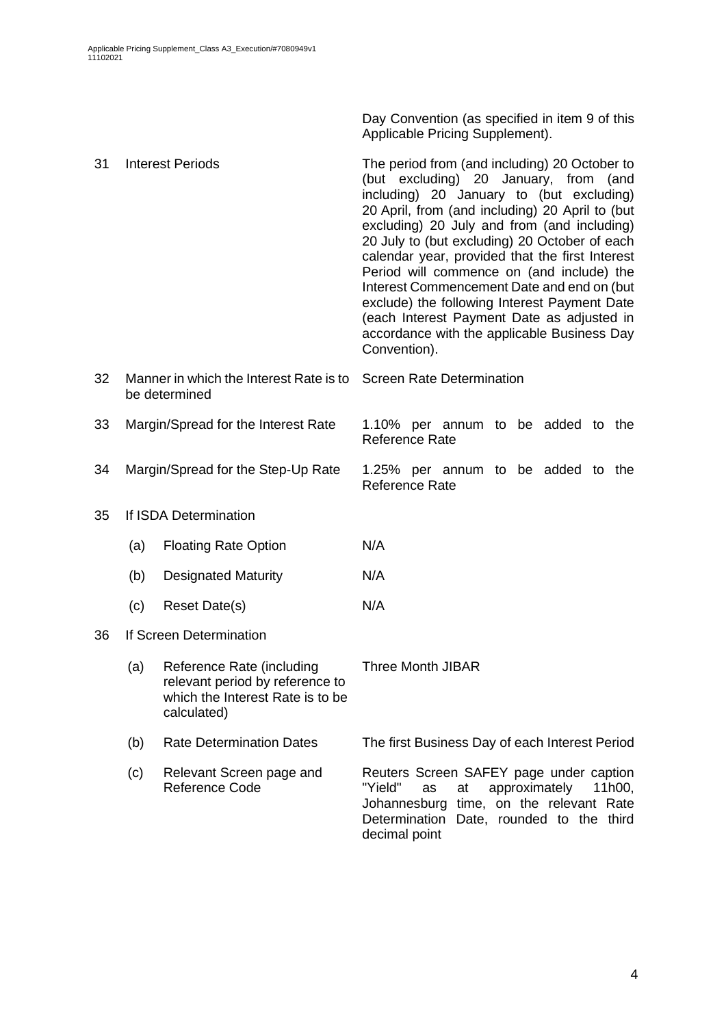Day Convention (as specified in item [9](#page-1-0) of this Applicable Pricing Supplement).

| 31 | <b>Interest Periods</b>             |                                                                                                                 | The period from (and including) 20 October to<br>(but excluding) 20 January, from (and<br>including) 20 January to (but excluding)<br>20 April, from (and including) 20 April to (but<br>excluding) 20 July and from (and including)<br>20 July to (but excluding) 20 October of each<br>calendar year, provided that the first Interest<br>Period will commence on (and include) the<br>Interest Commencement Date and end on (but<br>exclude) the following Interest Payment Date<br>(each Interest Payment Date as adjusted in<br>accordance with the applicable Business Day<br>Convention). |  |  |  |  |
|----|-------------------------------------|-----------------------------------------------------------------------------------------------------------------|--------------------------------------------------------------------------------------------------------------------------------------------------------------------------------------------------------------------------------------------------------------------------------------------------------------------------------------------------------------------------------------------------------------------------------------------------------------------------------------------------------------------------------------------------------------------------------------------------|--|--|--|--|
| 32 |                                     | Manner in which the Interest Rate is to<br>be determined                                                        | <b>Screen Rate Determination</b>                                                                                                                                                                                                                                                                                                                                                                                                                                                                                                                                                                 |  |  |  |  |
| 33 | Margin/Spread for the Interest Rate |                                                                                                                 | 1.10% per annum to be added to the<br><b>Reference Rate</b>                                                                                                                                                                                                                                                                                                                                                                                                                                                                                                                                      |  |  |  |  |
| 34 | Margin/Spread for the Step-Up Rate  |                                                                                                                 | 1.25% per annum to be added to the<br><b>Reference Rate</b>                                                                                                                                                                                                                                                                                                                                                                                                                                                                                                                                      |  |  |  |  |
| 35 |                                     | If ISDA Determination                                                                                           |                                                                                                                                                                                                                                                                                                                                                                                                                                                                                                                                                                                                  |  |  |  |  |
|    | (a)                                 | <b>Floating Rate Option</b>                                                                                     | N/A                                                                                                                                                                                                                                                                                                                                                                                                                                                                                                                                                                                              |  |  |  |  |
|    | (b)                                 | <b>Designated Maturity</b>                                                                                      | N/A                                                                                                                                                                                                                                                                                                                                                                                                                                                                                                                                                                                              |  |  |  |  |
|    | (c)                                 | Reset Date(s)                                                                                                   | N/A                                                                                                                                                                                                                                                                                                                                                                                                                                                                                                                                                                                              |  |  |  |  |
| 36 |                                     | If Screen Determination                                                                                         |                                                                                                                                                                                                                                                                                                                                                                                                                                                                                                                                                                                                  |  |  |  |  |
|    | (a)                                 | Reference Rate (including<br>relevant period by reference to<br>which the Interest Rate is to be<br>calculated) | <b>Three Month JIBAR</b>                                                                                                                                                                                                                                                                                                                                                                                                                                                                                                                                                                         |  |  |  |  |
|    | (b)                                 | <b>Rate Determination Dates</b>                                                                                 | The first Business Day of each Interest Period                                                                                                                                                                                                                                                                                                                                                                                                                                                                                                                                                   |  |  |  |  |
|    | (c)                                 | Relevant Screen page and<br>Reference Code                                                                      | Reuters Screen SAFEY page under caption<br>"Yield"<br>approximately<br>at<br>11h00,<br>as<br>Johannesburg time, on the relevant Rate<br>Determination Date, rounded to the third<br>decimal point                                                                                                                                                                                                                                                                                                                                                                                                |  |  |  |  |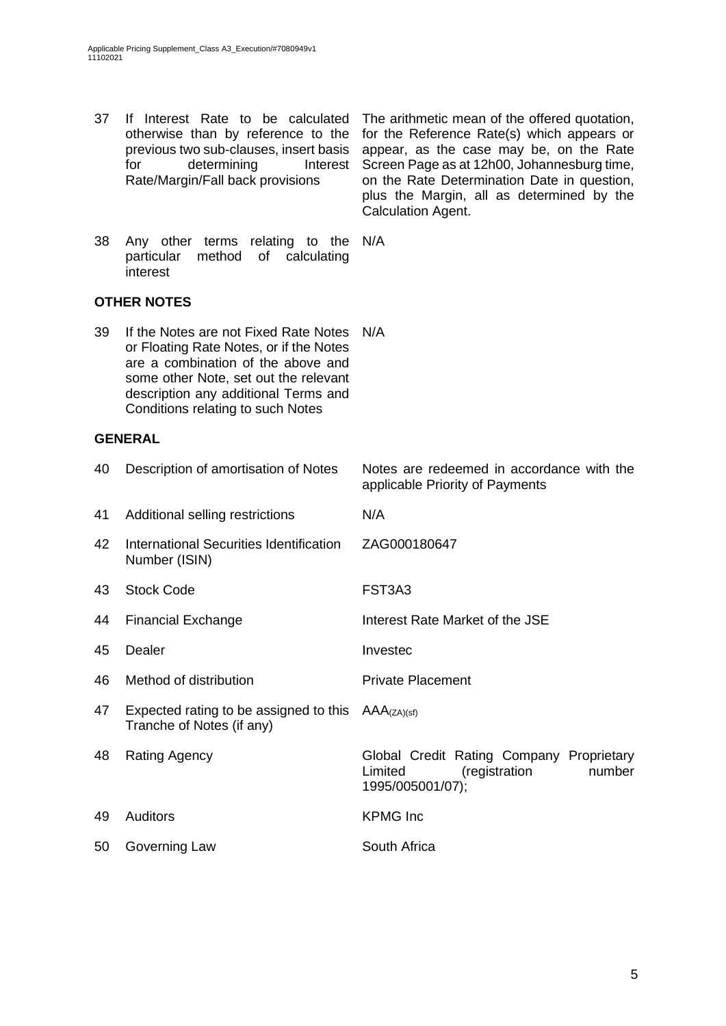37 If Interest Rate to be calculated

otherwise than by reference to the previous two sub-clauses, insert basis for determining Interest Rate/Margin/Fall back provisions for the Reference Rate(s) which appears or appear, as the case may be, on the Rate Screen Page as at 12h00, Johannesburg time, on the Rate Determination Date in question, plus the Margin, all as determined by the Calculation Agent. 38 Any other terms relating to the N/A particular method of calculating interest **OTHER NOTES** 39 If the Notes are not Fixed Rate Notes N/A or Floating Rate Notes, or if the Notes are a combination of the above and some other Note, set out the relevant description any additional Terms and Conditions relating to such Notes **GENERAL** 40 Description of amortisation of Notes Notes are redeemed in accordance with the applicable Priority of Payments 41 Additional selling restrictions N/A 42 International Securities Identification Number (ISIN) ZAG000180647 43 Stock Code FST3A3 44 Financial Exchange Interest Rate Market of the JSE 45 Dealer **Invested** 46 Method of distribution **Private Placement** 47 Expected rating to be assigned to this  $AAA_{(ZA)(sf)}$ Tranche of Notes (if any) 48 Rating Agency Global Credit Rating Company Proprietary Limited (registration number 1995/005001/07); 49 Auditors KPMG Inc 50 Governing Law South Africa

The arithmetic mean of the offered quotation,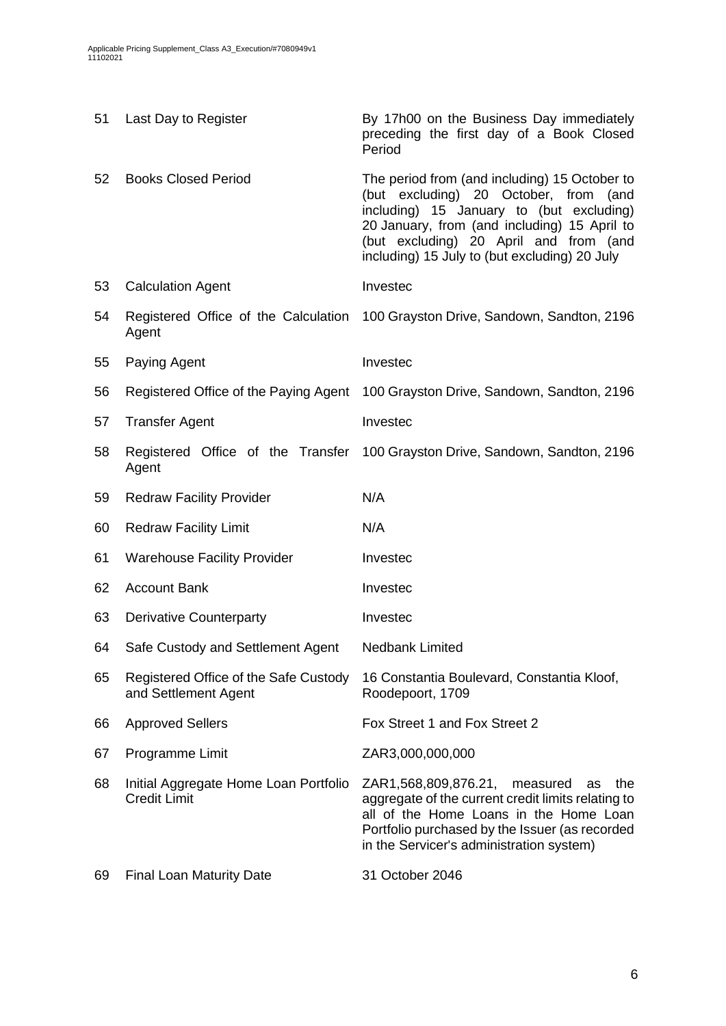| 51 | Last Day to Register                                          | By 17h00 on the Business Day immediately<br>preceding the first day of a Book Closed<br>Period                                                                                                                                                                                   |
|----|---------------------------------------------------------------|----------------------------------------------------------------------------------------------------------------------------------------------------------------------------------------------------------------------------------------------------------------------------------|
| 52 | <b>Books Closed Period</b>                                    | The period from (and including) 15 October to<br>(but excluding) 20 October, from<br>(and<br>including) 15 January to (but excluding)<br>20 January, from (and including) 15 April to<br>(but excluding) 20 April and from (and<br>including) 15 July to (but excluding) 20 July |
| 53 | <b>Calculation Agent</b>                                      | Investec                                                                                                                                                                                                                                                                         |
| 54 | Agent                                                         | Registered Office of the Calculation 100 Grayston Drive, Sandown, Sandton, 2196                                                                                                                                                                                                  |
| 55 | Paying Agent                                                  | Investec                                                                                                                                                                                                                                                                         |
| 56 |                                                               | Registered Office of the Paying Agent 100 Grayston Drive, Sandown, Sandton, 2196                                                                                                                                                                                                 |
| 57 | <b>Transfer Agent</b>                                         | Investec                                                                                                                                                                                                                                                                         |
| 58 | Agent                                                         | Registered Office of the Transfer 100 Grayston Drive, Sandown, Sandton, 2196                                                                                                                                                                                                     |
| 59 | <b>Redraw Facility Provider</b>                               | N/A                                                                                                                                                                                                                                                                              |
| 60 | <b>Redraw Facility Limit</b>                                  | N/A                                                                                                                                                                                                                                                                              |
| 61 | <b>Warehouse Facility Provider</b>                            | Investec                                                                                                                                                                                                                                                                         |
| 62 | <b>Account Bank</b>                                           | Investec                                                                                                                                                                                                                                                                         |
| 63 | <b>Derivative Counterparty</b>                                | Investec                                                                                                                                                                                                                                                                         |
| 64 | Safe Custody and Settlement Agent                             | Nedbank Limited                                                                                                                                                                                                                                                                  |
| 65 | Registered Office of the Safe Custody<br>and Settlement Agent | 16 Constantia Boulevard, Constantia Kloof,<br>Roodepoort, 1709                                                                                                                                                                                                                   |
| 66 | <b>Approved Sellers</b>                                       | Fox Street 1 and Fox Street 2                                                                                                                                                                                                                                                    |
| 67 | Programme Limit                                               | ZAR3,000,000,000                                                                                                                                                                                                                                                                 |
| 68 | Initial Aggregate Home Loan Portfolio<br><b>Credit Limit</b>  | ZAR1,568,809,876.21, measured<br>the<br>as<br>aggregate of the current credit limits relating to<br>all of the Home Loans in the Home Loan<br>Portfolio purchased by the Issuer (as recorded<br>in the Servicer's administration system)                                         |
| 69 | <b>Final Loan Maturity Date</b>                               | 31 October 2046                                                                                                                                                                                                                                                                  |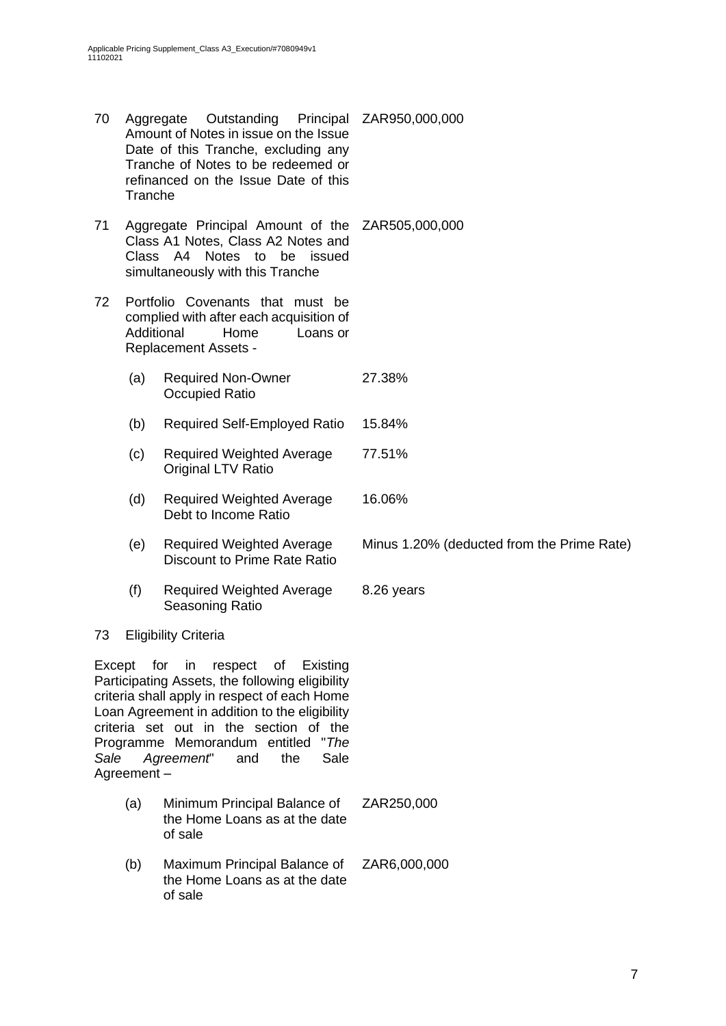70 Aggregate Outstanding Amount of Notes in issue on the Issue Date of this Tranche, excluding any Tranche of Notes to be redeemed or refinanced on the Issue Date of this Tranche Principal ZAR950,000,000 71 Aggregate Principal Amount of the ZAR505,000,000 Class A1 Notes, Class A2 Notes and Class A4 Notes to be issued simultaneously with this Tranche 72 Portfolio Covenants that must be complied with after each acquisition of Additional Home Loans or Replacement Assets - (a) Required Non-Owner Occupied Ratio 27.38% (b) Required Self-Employed Ratio 15.84% (c) Required Weighted Average Original LTV Ratio 77.51% (d) Required Weighted Average Debt to Income Ratio 16.06% (e) Required Weighted Average Discount to Prime Rate Ratio Minus 1.20% (deducted from the Prime Rate) (f) Required Weighted Average Seasoning Ratio 8.26 years

### 73 Eligibility Criteria

Except for in respect of Existing Participating Assets, the following eligibility criteria shall apply in respect of each Home Loan Agreement in addition to the eligibility criteria set out in the section of the Programme Memorandum entitled "*The Sale Agreement*" and the Sale Agreement –

- (a) Minimum Principal Balance of the Home Loans as at the date of sale ZAR250,000
- (b) Maximum Principal Balance of the Home Loans as at the date of sale ZAR6,000,000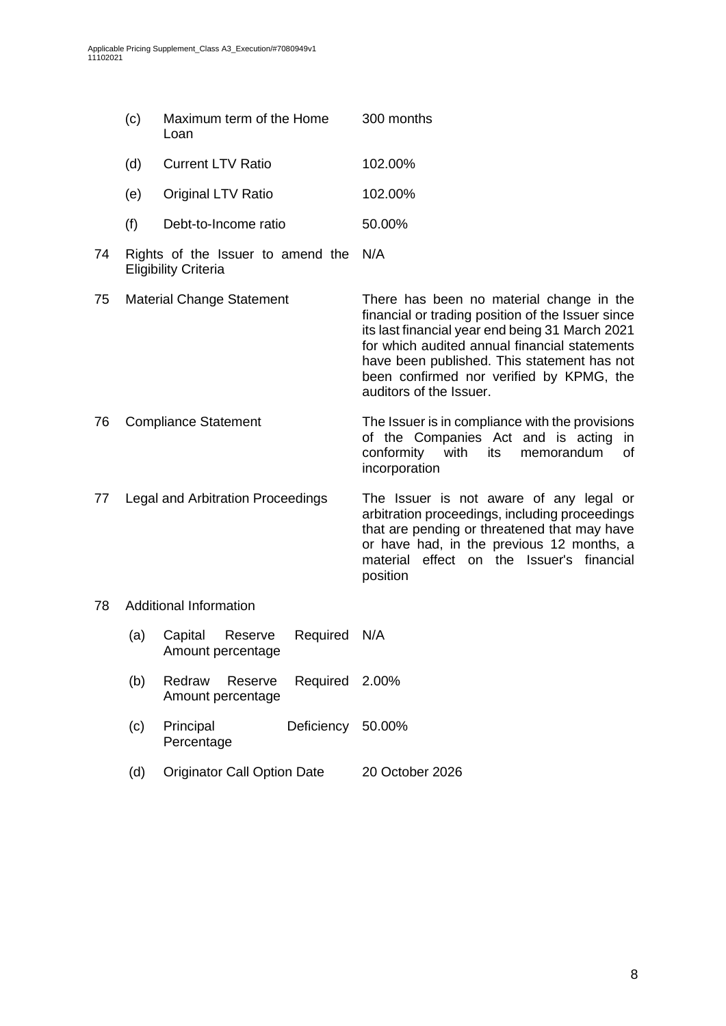|    | (c)                               | Maximum term of the Home<br>Loan                                 | 300 months                                                                                                                                                                                                                                                                                                              |  |
|----|-----------------------------------|------------------------------------------------------------------|-------------------------------------------------------------------------------------------------------------------------------------------------------------------------------------------------------------------------------------------------------------------------------------------------------------------------|--|
|    | (d)                               | <b>Current LTV Ratio</b>                                         | 102.00%                                                                                                                                                                                                                                                                                                                 |  |
|    | (e)                               | Original LTV Ratio                                               | 102.00%                                                                                                                                                                                                                                                                                                                 |  |
|    | (f)                               | Debt-to-Income ratio                                             | 50.00%                                                                                                                                                                                                                                                                                                                  |  |
| 74 |                                   | Rights of the Issuer to amend the<br><b>Eligibility Criteria</b> | N/A                                                                                                                                                                                                                                                                                                                     |  |
| 75 | <b>Material Change Statement</b>  |                                                                  | There has been no material change in the<br>financial or trading position of the Issuer since<br>its last financial year end being 31 March 2021<br>for which audited annual financial statements<br>have been published. This statement has not<br>been confirmed nor verified by KPMG, the<br>auditors of the Issuer. |  |
| 76 | <b>Compliance Statement</b>       |                                                                  | The Issuer is in compliance with the provisions<br>of the Companies Act and is acting<br>in<br>with<br>conformity<br>its<br>memorandum<br>οf<br>incorporation                                                                                                                                                           |  |
| 77 | Legal and Arbitration Proceedings |                                                                  | The Issuer is not aware of any legal or<br>arbitration proceedings, including proceedings<br>that are pending or threatened that may have<br>or have had, in the previous 12 months, a<br>material effect on the Issuer's financial<br>position                                                                         |  |
| 78 | <b>Additional Information</b>     |                                                                  |                                                                                                                                                                                                                                                                                                                         |  |
|    | (a)                               | Capital<br>Required<br>Reserve<br>Amount percentage              | N/A                                                                                                                                                                                                                                                                                                                     |  |
|    | (b)                               | Redraw<br>Reserve<br>Required<br>Amount percentage               | 2.00%                                                                                                                                                                                                                                                                                                                   |  |
|    | (c)                               | Principal<br>Deficiency<br>Percentage                            | 50.00%                                                                                                                                                                                                                                                                                                                  |  |

(d) Originator Call Option Date 20 October 2026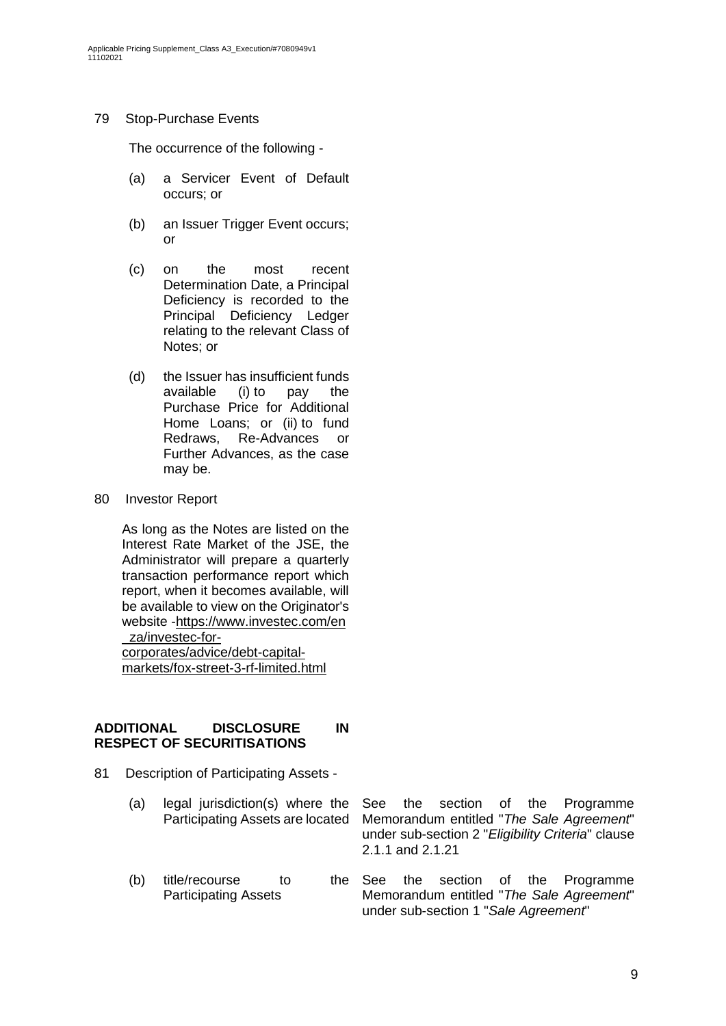### 79 Stop-Purchase Events

The occurrence of the following -

- (a) a Servicer Event of Default occurs; or
- (b) an Issuer Trigger Event occurs; or
- (c) on the most recent Determination Date, a Principal Deficiency is recorded to the Principal Deficiency Ledger relating to the relevant Class of Notes; or
- (d) the Issuer has insufficient funds available (i) to pay the Purchase Price for Additional Home Loans; or (ii) to fund Redraws, Re-Advances or Further Advances, as the case may be.
- 80 Investor Report

As long as the Notes are listed on the Interest Rate Market of the JSE, the Administrator will prepare a quarterly transaction performance report which report, when it becomes available, will be available to view on the Originator's website -https://www.investec.com/en \_za/investec-forcorporates/advice/debt-capital-

markets/fox-street-3-rf-limited.html

### **ADDITIONAL DISCLOSURE IN RESPECT OF SECURITISATIONS**

- 81 Description of Participating Assets
	- (a) legal jurisdiction(s) where the Participating Assets are located
	- (b) title/recourse to the See Participating Assets

See the section of the Programme Memorandum entitled "*The Sale Agreement*" under sub-section 2 "*Eligibility Criteria*" clause 2.1.1 and 2.1.21

the section of the Programme Memorandum entitled "*The Sale Agreement*" under sub-section 1 "*Sale Agreement*"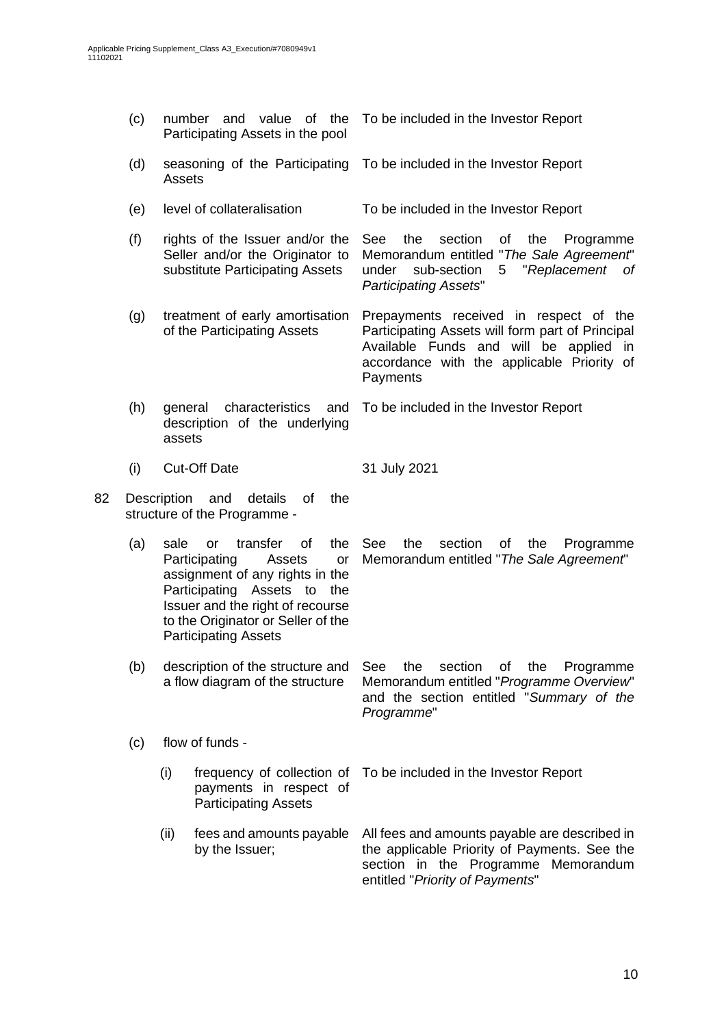| (c) |                                                                                                                                                                                                                                                                                                                                                                          | number and value of the<br>Participating Assets in the pool |                                                                                     | To be included in the Investor Report                                                                                                                                                          |  |  |
|-----|--------------------------------------------------------------------------------------------------------------------------------------------------------------------------------------------------------------------------------------------------------------------------------------------------------------------------------------------------------------------------|-------------------------------------------------------------|-------------------------------------------------------------------------------------|------------------------------------------------------------------------------------------------------------------------------------------------------------------------------------------------|--|--|
|     | (d)<br>seasoning of the Participating<br>Assets                                                                                                                                                                                                                                                                                                                          |                                                             |                                                                                     | To be included in the Investor Report                                                                                                                                                          |  |  |
|     | (e)                                                                                                                                                                                                                                                                                                                                                                      |                                                             | level of collateralisation                                                          | To be included in the Investor Report                                                                                                                                                          |  |  |
|     | (f)<br>rights of the Issuer and/or the<br>Seller and/or the Originator to<br>substitute Participating Assets<br>(g)<br>treatment of early amortisation<br>of the Participating Assets                                                                                                                                                                                    |                                                             |                                                                                     | the<br>section<br>See<br>οf<br>the<br>Programme<br>Memorandum entitled "The Sale Agreement"<br>"Replacement<br>under<br>sub-section<br>5<br>0f<br><b>Participating Assets"</b>                 |  |  |
|     |                                                                                                                                                                                                                                                                                                                                                                          |                                                             |                                                                                     | Prepayments received in respect of the<br>Participating Assets will form part of Principal<br>Available Funds and will be applied in<br>accordance with the applicable Priority of<br>Payments |  |  |
|     | (h)                                                                                                                                                                                                                                                                                                                                                                      | general<br>assets                                           | characteristics and<br>description of the underlying                                | To be included in the Investor Report                                                                                                                                                          |  |  |
|     | (i)                                                                                                                                                                                                                                                                                                                                                                      |                                                             | <b>Cut-Off Date</b>                                                                 | 31 July 2021                                                                                                                                                                                   |  |  |
| 82  |                                                                                                                                                                                                                                                                                                                                                                          | Description                                                 | and<br>details<br>of<br>the<br>structure of the Programme -                         |                                                                                                                                                                                                |  |  |
|     | of<br>(a)<br>transfer<br>the<br>sale<br><b>or</b><br>Participating<br>Assets<br>or<br>assignment of any rights in the<br>Participating Assets to<br>the<br>Issuer and the right of recourse<br>to the Originator or Seller of the<br><b>Participating Assets</b><br>description of the structure and<br>(b)<br>a flow diagram of the structure<br>flow of funds -<br>(c) |                                                             |                                                                                     | See<br>the<br>section<br>οf<br>the<br>Programme<br>Memorandum entitled "The Sale Agreement"                                                                                                    |  |  |
|     |                                                                                                                                                                                                                                                                                                                                                                          |                                                             |                                                                                     | section<br>See<br>the<br>Programme<br>Οf<br>the<br>Memorandum entitled "Programme Overview"<br>and the section entitled "Summary of the<br>Programme"                                          |  |  |
|     |                                                                                                                                                                                                                                                                                                                                                                          |                                                             |                                                                                     |                                                                                                                                                                                                |  |  |
|     |                                                                                                                                                                                                                                                                                                                                                                          | (i)                                                         | frequency of collection of<br>payments in respect of<br><b>Participating Assets</b> | To be included in the Investor Report                                                                                                                                                          |  |  |
|     |                                                                                                                                                                                                                                                                                                                                                                          | (ii)                                                        | fees and amounts payable<br>by the Issuer;                                          | All fees and amounts payable are described in<br>the applicable Priority of Payments. See the<br>section in the Programme Memorandum<br>entitled "Priority of Payments"                        |  |  |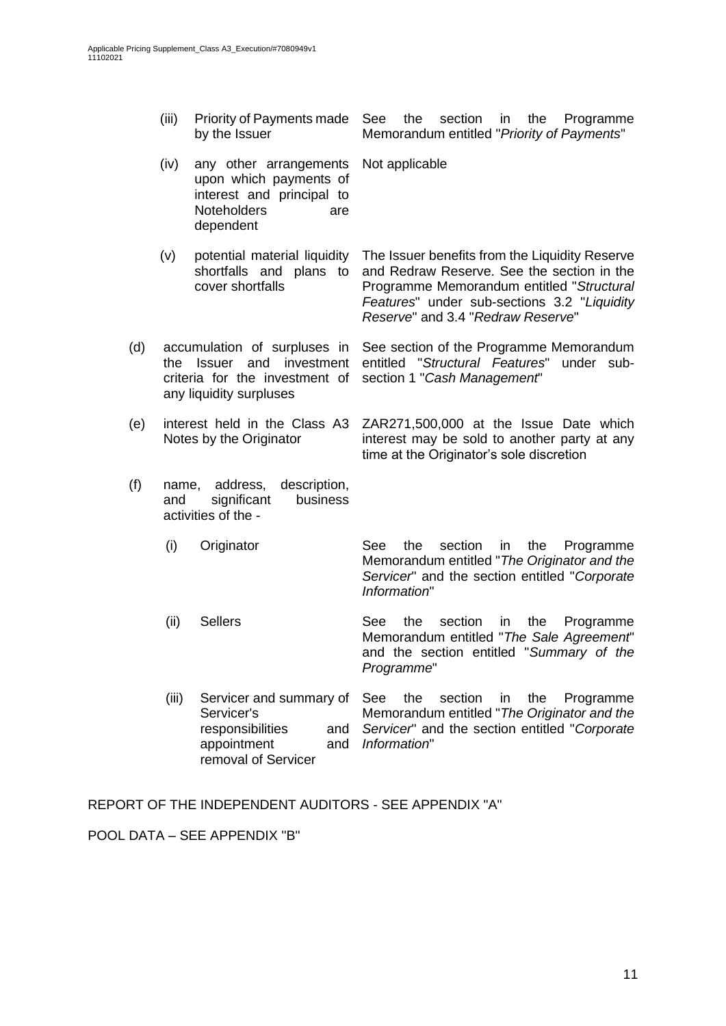- (iii) Priority of Payments made by the Issuer See the section in the Programme Memorandum entitled "*Priority of Payments*"
- (iv) any other arrangements upon which payments of interest and principal to Noteholders are dependent Not applicable
- (v) potential material liquidity shortfalls and plans to cover shortfalls The Issuer benefits from the Liquidity Reserve and Redraw Reserve. See the section in the Programme Memorandum entitled "*Structural Features*" under sub-sections 3.2 "*Liquidity*
- (d) accumulation of surpluses in See section of the Programme Memorandum the Issuer and investment criteria for the investment of any liquidity surpluses
- (e) interest held in the Class A3 Notes by the Originator
- (f) name, address, description, and significant business activities of the -
	- (i) Originator See the section in the Programme Memorandum entitled "*The Originator and the Servicer*" and the section entitled "*Corporate Information*"

time at the Originator's sole discretion

*Reserve*" and 3.4 "*Redraw Reserve*"

section 1 "*Cash Management*"

entitled "*Structural Features*" under sub-

ZAR271,500,000 at the Issue Date which interest may be sold to another party at any

- (ii) Sellers See the section in the Programme Memorandum entitled "*The Sale Agreement*" and the section entitled "*Summary of the Programme*"
- (iii) Servicer and summary of Servicer's responsibilities and appointment removal of Servicer See the section in the Programme Memorandum entitled "*The Originator and the Servicer*" and the section entitled "*Corporate Information*"

REPORT OF THE INDEPENDENT AUDITORS - SEE APPENDIX "A"

POOL DATA – SEE APPENDIX "B"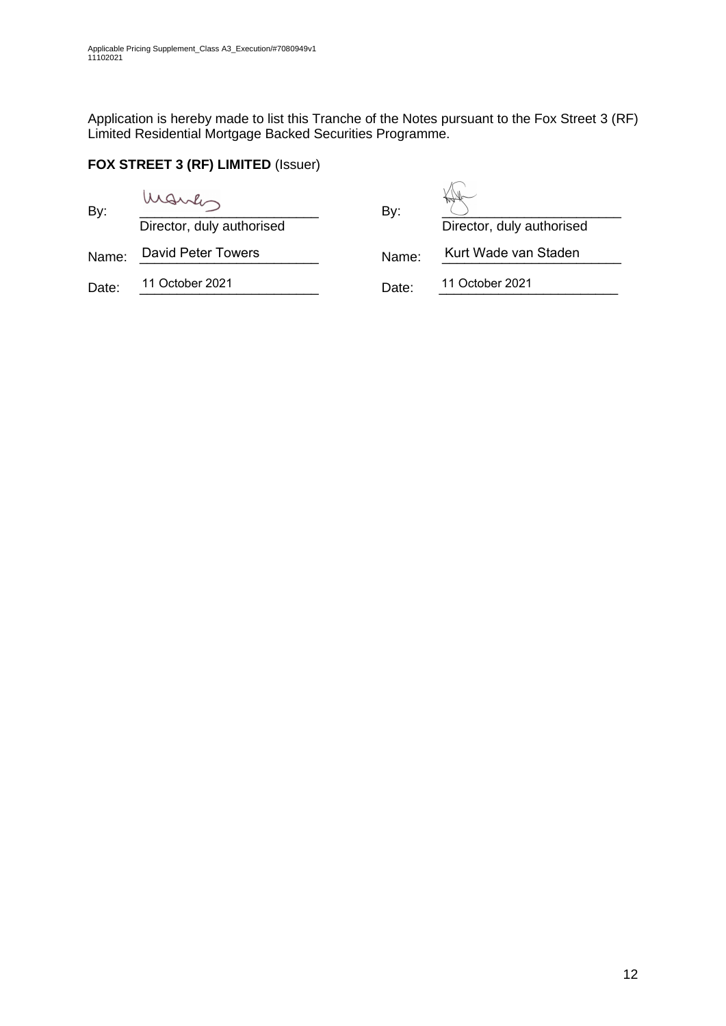Application is hereby made to list this Tranche of the Notes pursuant to the Fox Street 3 (RF) Limited Residential Mortgage Backed Securities Programme.

## **FOX STREET 3 (RF) LIMITED** (Issuer)

| By:   | March<br>Director, duly authorised | By:   | Director, duly authorised |
|-------|------------------------------------|-------|---------------------------|
| Name: | <b>David Peter Towers</b>          | Name: | Kurt Wade van Staden      |
| Date: | 11 October 2021                    | Date: | 11 October 2021           |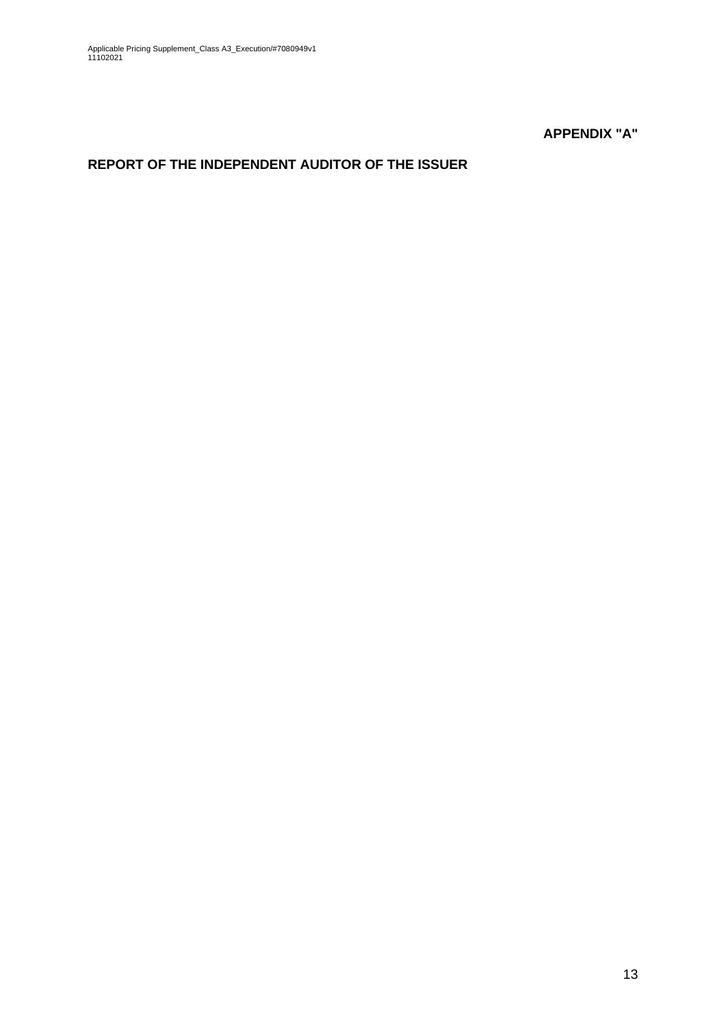**APPENDIX "A"**

# **REPORT OF THE INDEPENDENT AUDITOR OF THE ISSUER**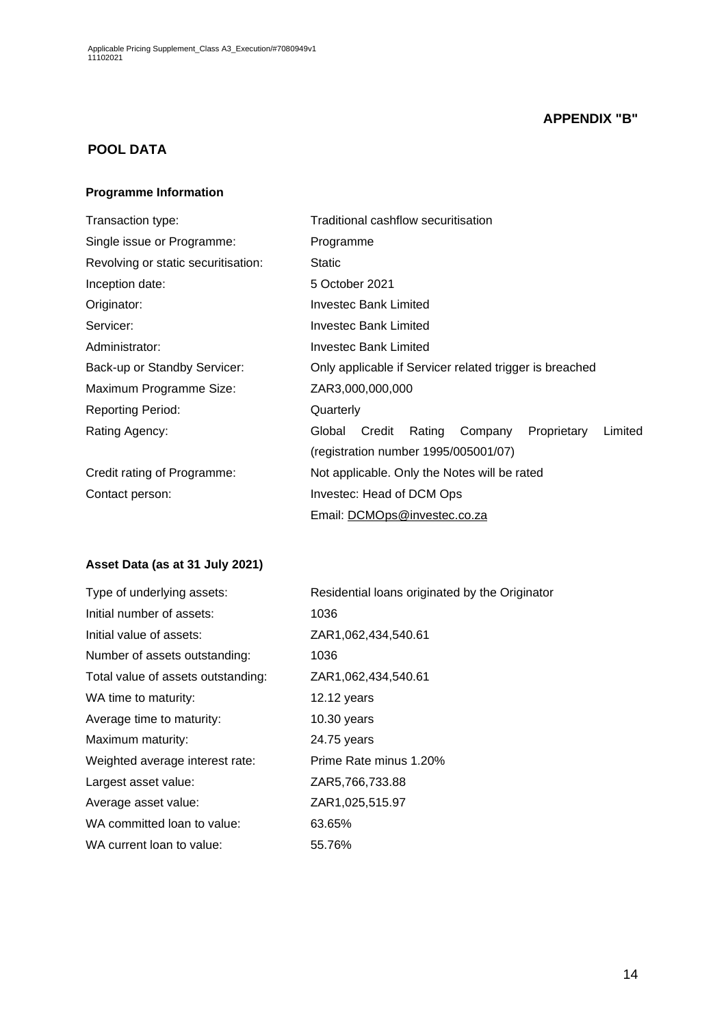## **APPENDIX "B"**

## **POOL DATA**

#### **Programme Information**

| Transaction type:                   | Traditional cashflow securitisation                             |  |  |  |  |  |
|-------------------------------------|-----------------------------------------------------------------|--|--|--|--|--|
| Single issue or Programme:          | Programme                                                       |  |  |  |  |  |
| Revolving or static securitisation: | <b>Static</b>                                                   |  |  |  |  |  |
| Inception date:                     | 5 October 2021                                                  |  |  |  |  |  |
| Originator:                         | Investec Bank Limited                                           |  |  |  |  |  |
| Servicer:                           | Investec Bank Limited                                           |  |  |  |  |  |
| Administrator:                      | Investec Bank Limited                                           |  |  |  |  |  |
| Back-up or Standby Servicer:        | Only applicable if Servicer related trigger is breached         |  |  |  |  |  |
| Maximum Programme Size:             | ZAR3,000,000,000                                                |  |  |  |  |  |
| <b>Reporting Period:</b>            | Quarterly                                                       |  |  |  |  |  |
| Rating Agency:                      | Credit<br>Rating<br>Proprietary<br>Limited<br>Global<br>Company |  |  |  |  |  |
|                                     | (registration number 1995/005001/07)                            |  |  |  |  |  |
| Credit rating of Programme:         | Not applicable. Only the Notes will be rated                    |  |  |  |  |  |
| Contact person:                     | Investec: Head of DCM Ops                                       |  |  |  |  |  |
|                                     | Email: DCMOps@investec.co.za                                    |  |  |  |  |  |

## **Asset Data (as at 31 July 2021)**

| Type of underlying assets:         | Residential loans originated by the Originator |
|------------------------------------|------------------------------------------------|
| Initial number of assets:          | 1036                                           |
| Initial value of assets:           | ZAR1,062,434,540.61                            |
| Number of assets outstanding:      | 1036                                           |
| Total value of assets outstanding: | ZAR1,062,434,540.61                            |
| WA time to maturity:               | $12.12$ years                                  |
| Average time to maturity:          | $10.30$ years                                  |
| Maximum maturity:                  | 24.75 years                                    |
| Weighted average interest rate:    | Prime Rate minus 1.20%                         |
| Largest asset value:               | ZAR5,766,733.88                                |
| Average asset value:               | ZAR1,025,515.97                                |
| WA committed loan to value:        | 63.65%                                         |
| WA current loan to value:          | 55.76%                                         |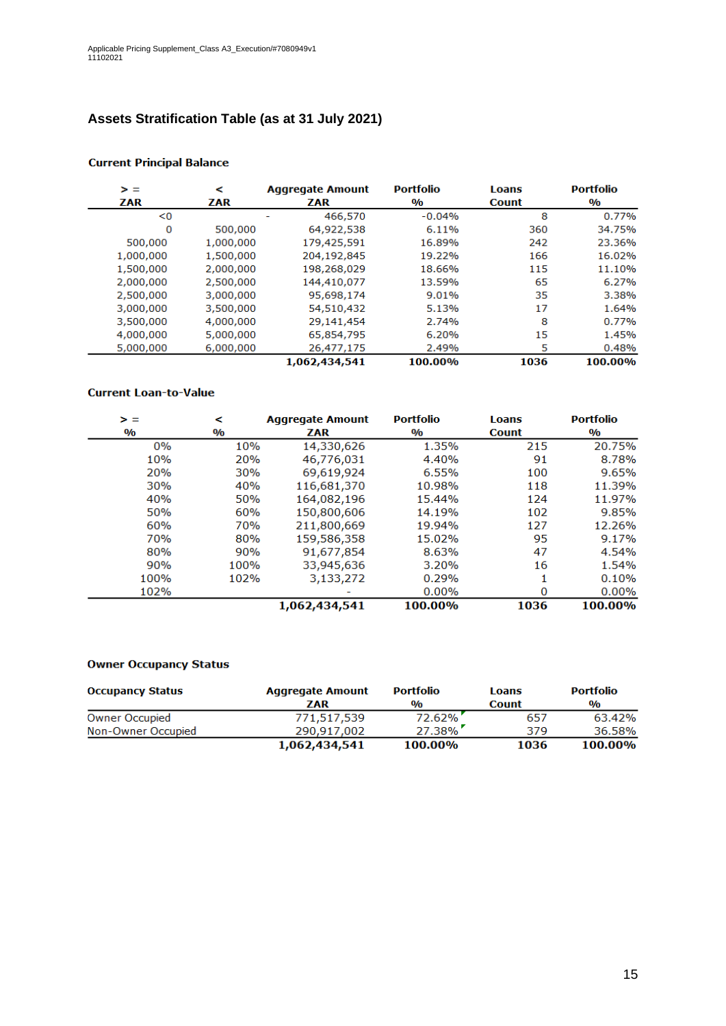# **Assets Stratification Table (as at 31 July 2021)**

| > =       | ⋖         | <b>Aggregate Amount</b> | <b>Portfolio</b>        | Loans        | <b>Portfolio</b>        |
|-----------|-----------|-------------------------|-------------------------|--------------|-------------------------|
| ZAR       | ZAR       | ZAR                     | $\mathbf{0}/\mathbf{0}$ | <b>Count</b> | $\mathbf{0}/\mathbf{0}$ |
| < 0       |           | 466,570                 | $-0.04%$                | 8            | 0.77%                   |
| 0         | 500,000   | 64,922,538              | 6.11%                   | 360          | 34.75%                  |
| 500,000   | 1,000,000 | 179,425,591             | 16.89%                  | 242          | 23.36%                  |
| 1,000,000 | 1,500,000 | 204,192,845             | 19.22%                  | 166          | 16.02%                  |
| 1,500,000 | 2,000,000 | 198,268,029             | 18.66%                  | 115          | 11.10%                  |
| 2,000,000 | 2,500,000 | 144,410,077             | 13.59%                  | 65           | 6.27%                   |
| 2,500,000 | 3,000,000 | 95,698,174              | 9.01%                   | 35           | 3.38%                   |
| 3,000,000 | 3,500,000 | 54,510,432              | 5.13%                   | 17           | 1.64%                   |
| 3,500,000 | 4,000,000 | 29,141,454              | 2.74%                   | 8            | 0.77%                   |
| 4,000,000 | 5,000,000 | 65,854,795              | 6.20%                   | 15           | 1.45%                   |
| 5,000,000 | 6,000,000 | 26,477,175              | 2.49%                   | 5            | 0.48%                   |
|           |           | 1,062,434,541           | 100.00%                 | 1036         | 100.00%                 |

#### **Current Principal Balance**

#### **Current Loan-to-Value**

| > =           | ⋖             | <b>Aggregate Amount</b> | <b>Portfolio</b> | <b>Loans</b> | <b>Portfolio</b>        |
|---------------|---------------|-------------------------|------------------|--------------|-------------------------|
| $\frac{0}{0}$ | $\frac{0}{0}$ | ZAR                     | $\frac{0}{0}$    | <b>Count</b> | $\mathbf{0}/\mathbf{0}$ |
| 0%            | 10%           | 14,330,626              | 1.35%            | 215          | 20.75%                  |
| 10%           | 20%           | 46,776,031              | 4.40%            | 91           | 8.78%                   |
| 20%           | <b>30%</b>    | 69,619,924              | 6.55%            | 100          | 9.65%                   |
| 30%           | 40%           | 116,681,370             | 10.98%           | 118          | 11.39%                  |
| 40%           | 50%           | 164,082,196             | 15.44%           | 124          | 11.97%                  |
| 50%           | 60%           | 150,800,606             | 14.19%           | 102          | 9.85%                   |
| 60%           | <b>70%</b>    | 211,800,669             | 19.94%           | 127          | 12.26%                  |
| 70%           | 80%           | 159,586,358             | 15.02%           | 95           | 9.17%                   |
| 80%           | 90%           | 91,677,854              | 8.63%            | 47           | 4.54%                   |
| 90%           | 100%          | 33,945,636              | 3.20%            | 16           | 1.54%                   |
| 100%          | 102%          | 3,133,272               | 0.29%            |              | 0.10%                   |
| 102%          |               |                         | 0.00%            | 0            | 0.00%                   |
|               |               | 1,062,434,541           | 100.00%          | 1036         | 100.00%                 |

#### **Owner Occupancy Status**

| <b>Occupancy Status</b> | <b>Aggregate Amount</b> | <b>Portfolio</b> | Loans        | <b>Portfolio</b> |
|-------------------------|-------------------------|------------------|--------------|------------------|
|                         | ZAR                     | $\frac{0}{0}$    | <b>Count</b> | $\frac{0}{0}$    |
| <b>Owner Occupied</b>   | 771,517,539             | 72.62%           | 657          | 63.42%           |
| Non-Owner Occupied      | 290.917.002             | $27.38\%$        | 379          | 36.58%           |
|                         | 1,062,434,541           | 100.00%          | 1036         | 100.00%          |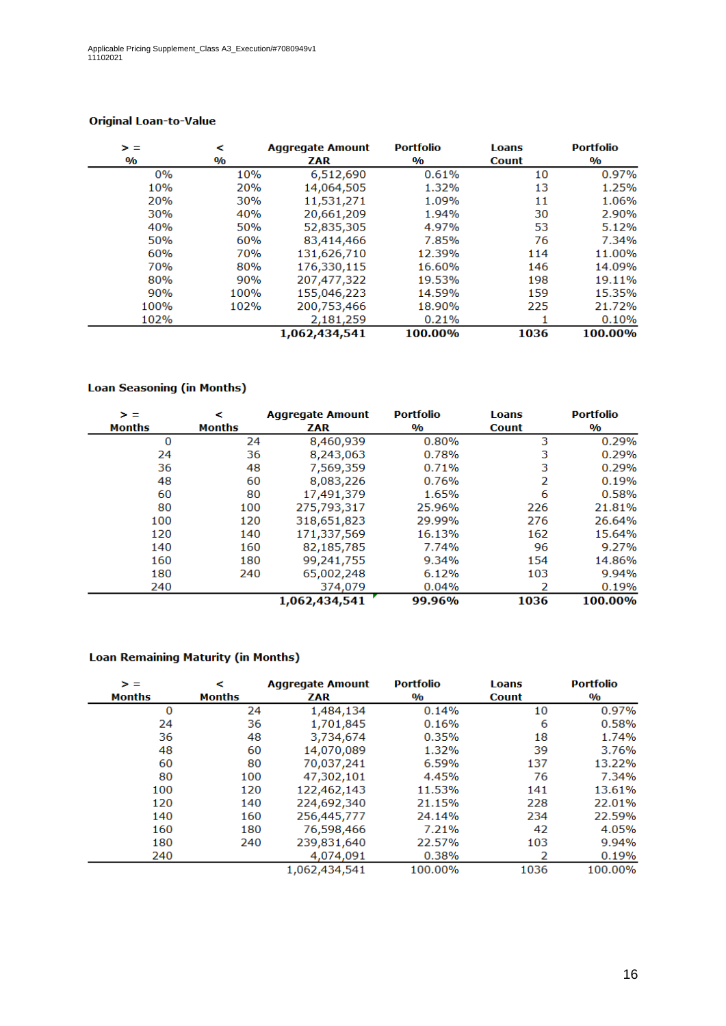| > =           | <             | <b>Aggregate Amount</b> |               | <b>Loans</b> | <b>Portfolio</b> |
|---------------|---------------|-------------------------|---------------|--------------|------------------|
| $\frac{0}{0}$ | $\frac{0}{0}$ | ZAR                     | $\frac{0}{0}$ | <b>Count</b> | $\frac{0}{0}$    |
| 0%            | 10%           | 6,512,690               | 0.61%         | 10           | 0.97%            |
| 10%           | 20%           | 14,064,505              | 1.32%         | 13           | 1.25%            |
| 20%           | 30%           | 11,531,271              | 1.09%         | 11           | 1.06%            |
| 30%           | 40%           | 20,661,209              | 1.94%         | 30           | 2.90%            |
| 40%           | 50%           | 52,835,305              | 4.97%         | 53           | 5.12%            |
| 50%           | 60%           | 83,414,466              | 7.85%         | 76           | 7.34%            |
| 60%           | 70%           | 131,626,710             | 12.39%        | 114          | 11.00%           |
| 70%           | 80%           | 176,330,115             | 16.60%        | 146          | 14.09%           |
| 80%           | 90%           | 207,477,322             | 19.53%        | 198          | 19.11%           |
| 90%           | 100%          | 155,046,223             | 14.59%        | 159          | 15.35%           |
| 100%          | 102%          | 200,753,466             | 18.90%        | 225          | 21.72%           |
| 102%          |               | 2,181,259               | 0.21%         |              | 0.10%            |
|               |               | 1,062,434,541           | 100.00%       | 1036         | 100.00%          |

### **Original Loan-to-Value**

### **Loan Seasoning (in Months)**

| > =<br><b>Months</b> | ≺<br><b>Months</b> | <b>Aggregate Amount</b><br>ZAR | <b>Portfolio</b><br>$\mathbf{0}/\mathbf{0}$ | <b>Loans</b><br><b>Count</b> | <b>Portfolio</b><br>$\mathbf{O}/\mathbf{O}$ |
|----------------------|--------------------|--------------------------------|---------------------------------------------|------------------------------|---------------------------------------------|
| 0                    | 24                 | 8,460,939                      | 0.80%                                       | 3                            | 0.29%                                       |
| 24                   | 36                 | 8,243,063                      | 0.78%                                       | 3                            | 0.29%                                       |
| 36                   | 48                 | 7,569,359                      | 0.71%                                       | 3                            | 0.29%                                       |
| 48                   | 60                 | 8,083,226                      | 0.76%                                       | 2                            | 0.19%                                       |
| 60                   | 80                 | 17,491,379                     | 1.65%                                       | 6                            | 0.58%                                       |
| 80                   | 100                | 275,793,317                    | 25.96%                                      | 226                          | 21.81%                                      |
| 100                  | 120                | 318,651,823                    | 29.99%                                      | 276                          | 26.64%                                      |
| 120                  | 140                | 171,337,569                    | 16.13%                                      | 162                          | 15.64%                                      |
| 140                  | 160                | 82,185,785                     | 7.74%                                       | 96                           | 9.27%                                       |
| 160                  | 180                | 99,241,755                     | 9.34%                                       | 154                          | 14.86%                                      |
| 180                  | 240                | 65,002,248                     | 6.12%                                       | 103                          | 9.94%                                       |
| 240                  |                    | 374,079                        | 0.04%                                       |                              | 0.19%                                       |
|                      |                    | 1,062,434,541                  | 99.96%                                      | 1036                         | 100.00%                                     |

#### **Loan Remaining Maturity (in Months)**

| > =    | ≺             | <b>Aggregate Amount</b> | <b>Portfolio</b>        | <b>Loans</b> | <b>Portfolio</b>        |
|--------|---------------|-------------------------|-------------------------|--------------|-------------------------|
| Months | <b>Months</b> | ZAR                     | $\mathbf{0}/\mathbf{0}$ | <b>Count</b> | $\mathbf{0}/\mathbf{0}$ |
| 0      | 24            | 1,484,134               | 0.14%                   | 10           | 0.97%                   |
| 24     | 36            | 1,701,845               | 0.16%                   | 6            | 0.58%                   |
| 36     | 48            | 3,734,674               | 0.35%                   | 18           | 1.74%                   |
| 48     | 60            | 14,070,089              | 1.32%                   | 39           | 3.76%                   |
| 60     | 80            | 70,037,241              | 6.59%                   | 137          | 13.22%                  |
| 80     | 100           | 47,302,101              | 4.45%                   | 76           | 7.34%                   |
| 100    | 120           | 122,462,143             | 11.53%                  | 141          | 13.61%                  |
| 120    | 140           | 224,692,340             | 21.15%                  | 228          | 22.01%                  |
| 140    | 160           | 256,445,777             | 24.14%                  | 234          | 22.59%                  |
| 160    | 180           | 76,598,466              | 7.21%                   | 42           | 4.05%                   |
| 180    | 240           | 239,831,640             | 22.57%                  | 103          | 9.94%                   |
| 240    |               | 4,074,091               | 0.38%                   | 2            | 0.19%                   |
|        |               | 1,062,434,541           | 100.00%                 | 1036         | 100.00%                 |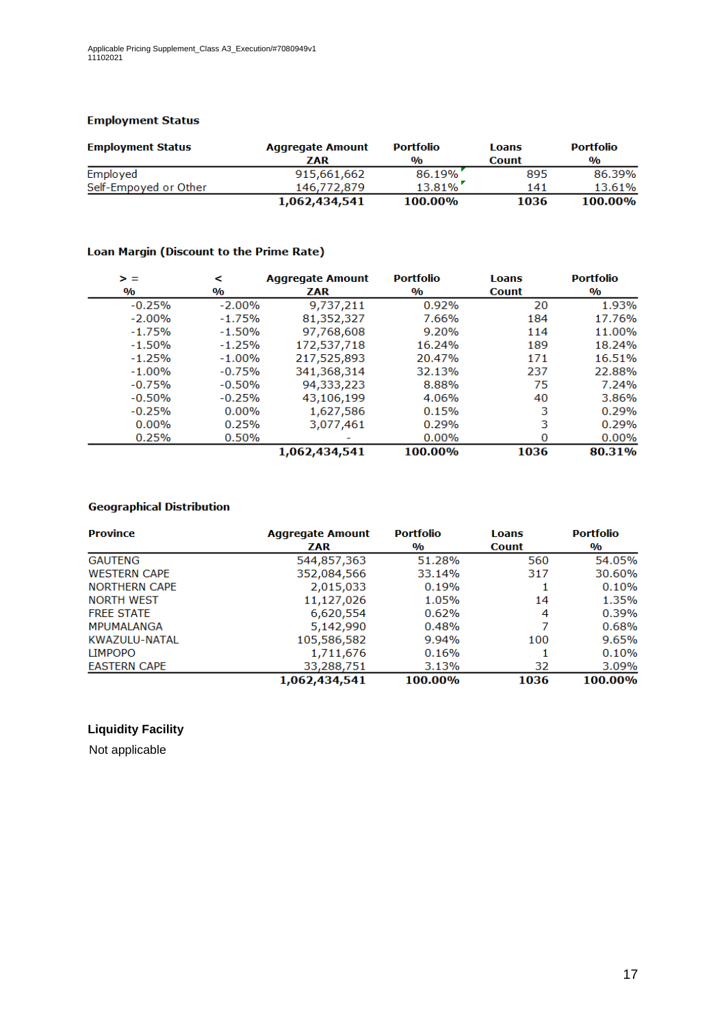#### **Employment Status**

| <b>Employment Status</b> | <b>Aggregate Amount</b> | <b>Portfolio</b> | Loans        | <b>Portfolio</b> |
|--------------------------|-------------------------|------------------|--------------|------------------|
|                          | ZAR                     | $\frac{0}{0}$    | <b>Count</b> | $\frac{0}{0}$    |
| Employed                 | 915,661,662             | 86.19%           | 895          | 86.39%           |
| Self-Empoyed or Other    | 146,772,879             | $13.81\%$        | 141          | 13.61%           |
|                          | 1,062,434,541           | 100.00%          | 1036         | 100.00%          |

#### Loan Margin (Discount to the Prime Rate)

| > =                     | ≺                       | <b>Aggregate Amount</b> | <b>Portfolio</b>        | <b>Loans</b> | <b>Portfolio</b>        |
|-------------------------|-------------------------|-------------------------|-------------------------|--------------|-------------------------|
| $\mathbf{0}/\mathbf{0}$ | $\mathbf{0}/\mathbf{0}$ | ZAR                     | $\mathbf{0}/\mathbf{0}$ | <b>Count</b> | $\mathbf{0}/\mathbf{0}$ |
| $-0.25%$                | $-2.00\%$               | 9,737,211               | 0.92%                   | 20           | 1.93%                   |
| $-2.00%$                | $-1.75%$                | 81,352,327              | 7.66%                   | 184          | 17.76%                  |
| $-1.75%$                | $-1.50%$                | 97,768,608              | 9.20%                   | 114          | 11.00%                  |
| $-1.50%$                | $-1.25%$                | 172,537,718             | 16.24%                  | 189          | 18.24%                  |
| $-1.25%$                | $-1.00%$                | 217,525,893             | 20.47%                  | 171          | 16.51%                  |
| $-1.00%$                | $-0.75%$                | 341,368,314             | 32.13%                  | 237          | 22.88%                  |
| $-0.75%$                | $-0.50%$                | 94,333,223              | 8.88%                   | 75           | 7.24%                   |
| $-0.50%$                | $-0.25%$                | 43,106,199              | 4.06%                   | 40           | 3.86%                   |
| $-0.25%$                | $0.00\%$                | 1,627,586               | 0.15%                   | 3            | 0.29%                   |
| $0.00\%$                | 0.25%                   | 3,077,461               | 0.29%                   | 3            | 0.29%                   |
| 0.25%                   | 0.50%                   |                         | $0.00\%$                | 0            | $0.00\%$                |
|                         |                         | 1,062,434,541           | 100.00%                 | 1036         | 80.31%                  |

### **Geographical Distribution**

| <b>Province</b>      | <b>Aggregate Amount</b> | <b>Portfolio</b> | Loans        | <b>Portfolio</b> |
|----------------------|-------------------------|------------------|--------------|------------------|
|                      | <b>ZAR</b>              | $\frac{0}{0}$    | <b>Count</b> | $\frac{0}{0}$    |
| <b>GAUTENG</b>       | 544,857,363             | 51.28%           | 560          | 54.05%           |
| <b>WESTERN CAPE</b>  | 352,084,566             | 33.14%           | 317          | 30.60%           |
| <b>NORTHERN CAPE</b> | 2,015,033               | 0.19%            |              | 0.10%            |
| <b>NORTH WEST</b>    | 11,127,026              | 1.05%            | 14           | 1.35%            |
| <b>FREE STATE</b>    | 6,620,554               | 0.62%            | 4            | 0.39%            |
| <b>MPUMALANGA</b>    | 5,142,990               | 0.48%            | 7            | 0.68%            |
| KWAZULU-NATAL        | 105,586,582             | 9.94%            | 100          | 9.65%            |
| <b>LIMPOPO</b>       | 1,711,676               | 0.16%            |              | 0.10%            |
| <b>EASTERN CAPE</b>  | 33,288,751              | 3.13%            | 32           | 3.09%            |
|                      | 1,062,434,541           | 100.00%          | 1036         | 100.00%          |

### **Liquidity Facility**

Not applicable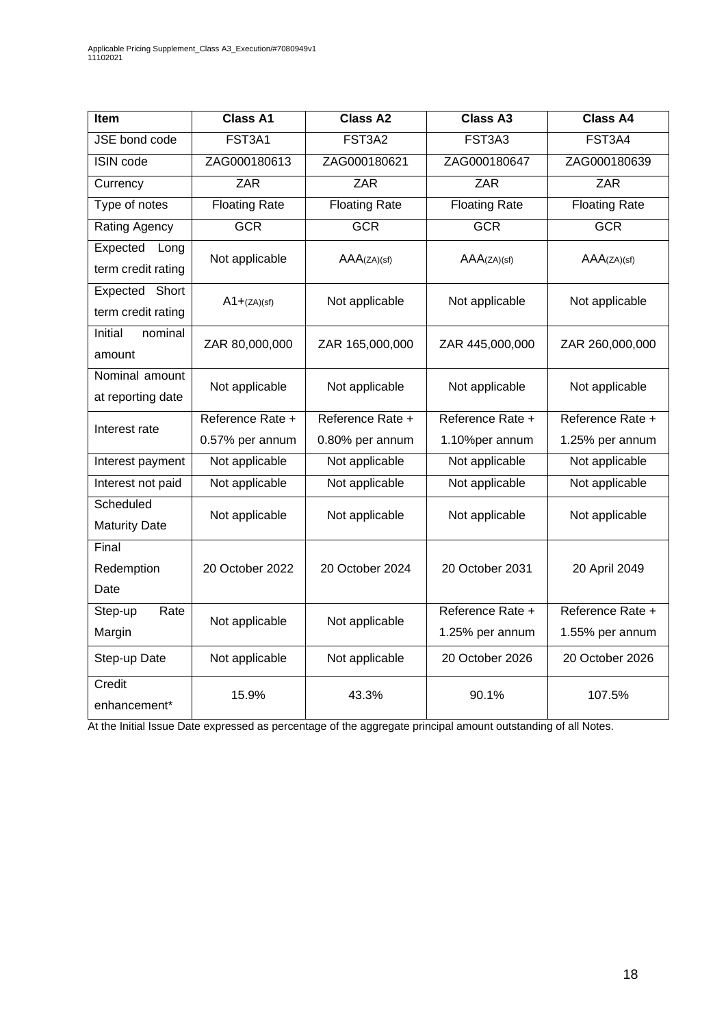| Item                                    | <b>Class A1</b>      | <b>Class A2</b>      | <b>Class A3</b>                     | <b>Class A4</b>                     |
|-----------------------------------------|----------------------|----------------------|-------------------------------------|-------------------------------------|
| JSE bond code                           | FST3A1               | FST3A2               | FST3A3                              | FST3A4                              |
| <b>ISIN</b> code                        | ZAG000180613         | ZAG000180621         | ZAG000180647                        | ZAG000180639                        |
| Currency                                | <b>ZAR</b>           | ZAR                  | ZAR                                 | ZAR                                 |
| Type of notes                           | <b>Floating Rate</b> | <b>Floating Rate</b> | <b>Floating Rate</b>                | <b>Floating Rate</b>                |
| Rating Agency                           | <b>GCR</b>           | <b>GCR</b>           | <b>GCR</b>                          | <b>GCR</b>                          |
| Expected<br>Long<br>term credit rating  | Not applicable       | AAA(ZA)(sf)          | AAA(ZA)(sf)                         | AAA(ZA)(sf)                         |
| Expected<br>Short<br>term credit rating | $A1 + (ZA)(sf)$      | Not applicable       | Not applicable                      | Not applicable                      |
| Initial<br>nominal<br>amount            | ZAR 80,000,000       | ZAR 165,000,000      | ZAR 445,000,000                     | ZAR 260,000,000                     |
| Nominal amount<br>at reporting date     | Not applicable       | Not applicable       | Not applicable                      | Not applicable                      |
| Interest rate                           | Reference Rate +     | Reference Rate +     | Reference Rate +                    | Reference Rate +                    |
|                                         | 0.57% per annum      | 0.80% per annum      | 1.10%per annum                      | 1.25% per annum                     |
| Interest payment                        | Not applicable       | Not applicable       | Not applicable                      | Not applicable                      |
| Interest not paid                       | Not applicable       | Not applicable       | Not applicable                      | Not applicable                      |
| Scheduled<br><b>Maturity Date</b>       | Not applicable       | Not applicable       | Not applicable                      | Not applicable                      |
| Final<br>Redemption<br>Date             | 20 October 2022      | 20 October 2024      | 20 October 2031                     | 20 April 2049                       |
| Step-up<br>Rate<br>Margin               | Not applicable       | Not applicable       | Reference Rate +<br>1.25% per annum | Reference Rate +<br>1.55% per annum |
| Step-up Date                            | Not applicable       | Not applicable       | 20 October 2026                     | 20 October 2026                     |
| Credit<br>enhancement*                  | 15.9%                | 43.3%                | 90.1%                               | 107.5%                              |

At the Initial Issue Date expressed as percentage of the aggregate principal amount outstanding of all Notes.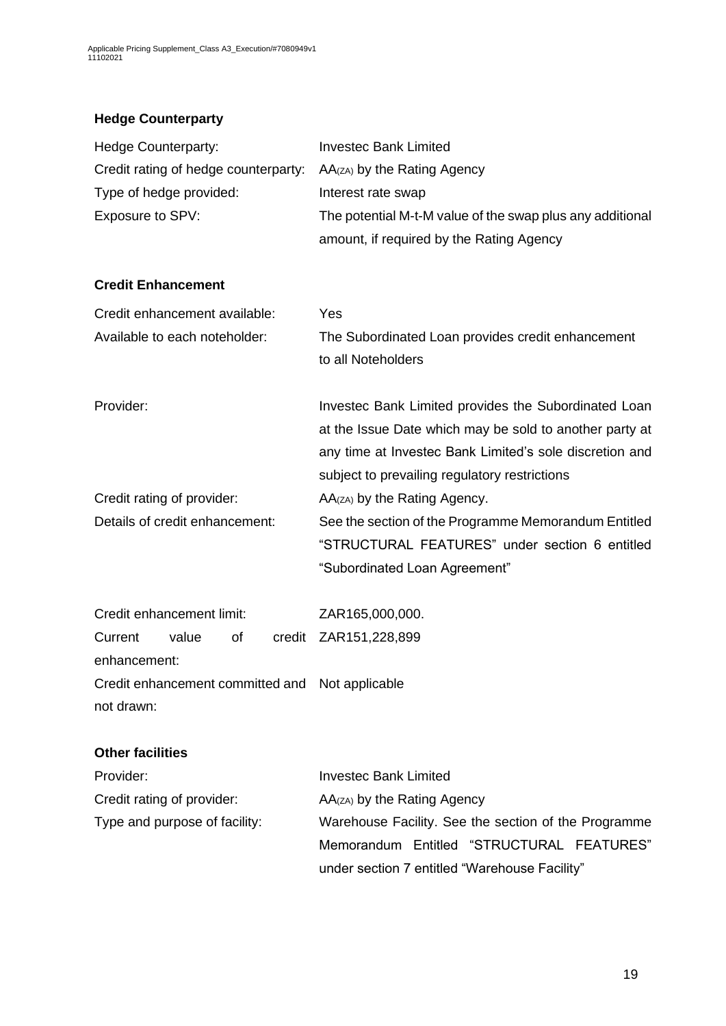# **Hedge Counterparty**

| Hedge Counterparty:                             | <b>Investec Bank Limited</b>                                                                                                                                                                                                |
|-------------------------------------------------|-----------------------------------------------------------------------------------------------------------------------------------------------------------------------------------------------------------------------------|
| Credit rating of hedge counterparty:            | AA(zA) by the Rating Agency                                                                                                                                                                                                 |
| Type of hedge provided:                         | Interest rate swap                                                                                                                                                                                                          |
| Exposure to SPV:                                | The potential M-t-M value of the swap plus any additional                                                                                                                                                                   |
|                                                 | amount, if required by the Rating Agency                                                                                                                                                                                    |
| <b>Credit Enhancement</b>                       |                                                                                                                                                                                                                             |
| Credit enhancement available:                   | Yes                                                                                                                                                                                                                         |
| Available to each noteholder:                   | The Subordinated Loan provides credit enhancement<br>to all Noteholders                                                                                                                                                     |
| Provider:                                       | Investec Bank Limited provides the Subordinated Loan<br>at the Issue Date which may be sold to another party at<br>any time at Investec Bank Limited's sole discretion and<br>subject to prevailing regulatory restrictions |
| Credit rating of provider:                      | AA(zA) by the Rating Agency.                                                                                                                                                                                                |
| Details of credit enhancement:                  | See the section of the Programme Memorandum Entitled                                                                                                                                                                        |
|                                                 | "STRUCTURAL FEATURES" under section 6 entitled                                                                                                                                                                              |
|                                                 | "Subordinated Loan Agreement"                                                                                                                                                                                               |
| Credit enhancement limit:                       | ZAR165,000,000.                                                                                                                                                                                                             |
| value<br>of<br>Current                          | credit ZAR151,228,899                                                                                                                                                                                                       |
| enhancement:                                    |                                                                                                                                                                                                                             |
| Credit enhancement committed and Not applicable |                                                                                                                                                                                                                             |
| not drawn:                                      |                                                                                                                                                                                                                             |
| <b>Other facilities</b>                         |                                                                                                                                                                                                                             |
| Provider:                                       | <b>Investec Bank Limited</b>                                                                                                                                                                                                |
| Credit rating of provider:                      | AA(zA) by the Rating Agency                                                                                                                                                                                                 |
| Type and purpose of facility:                   | Warehouse Facility. See the section of the Programme                                                                                                                                                                        |
|                                                 | Memorandum Entitled "STRUCTURAL FEATURES"                                                                                                                                                                                   |
|                                                 | under section 7 entitled "Warehouse Facility"                                                                                                                                                                               |